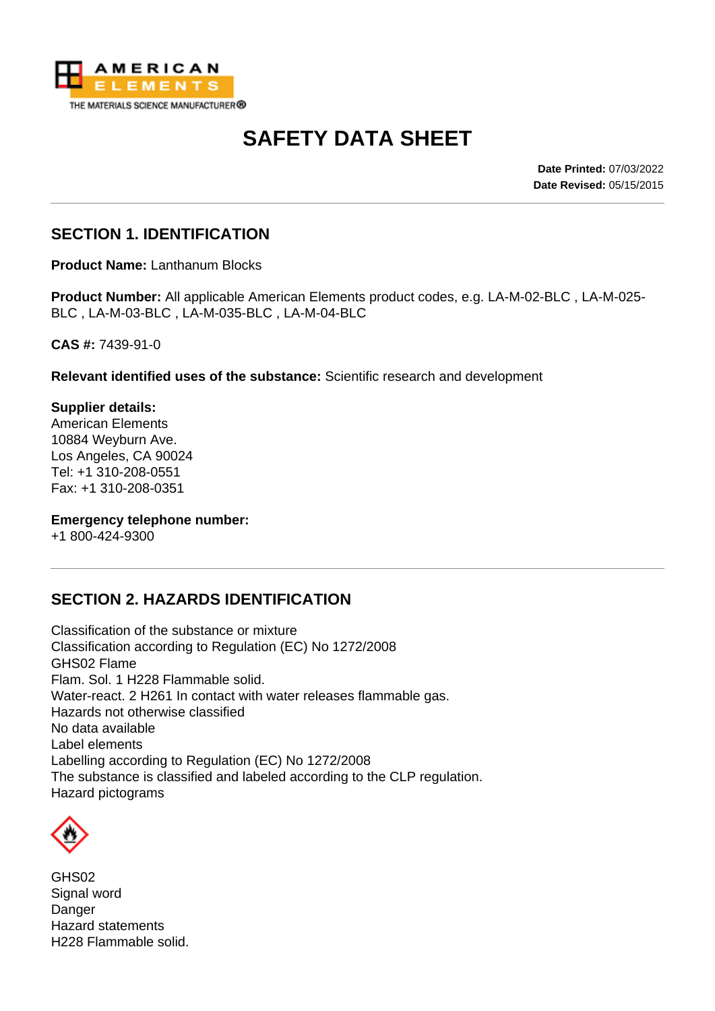

# **SAFETY DATA SHEET**

**Date Printed:** 07/03/2022 **Date Revised:** 05/15/2015

## **SECTION 1. IDENTIFICATION**

**Product Name:** Lanthanum Blocks

**Product Number:** All applicable American Elements product codes, e.g. LA-M-02-BLC , LA-M-025- BLC , LA-M-03-BLC , LA-M-035-BLC , LA-M-04-BLC

**CAS #:** 7439-91-0

**Relevant identified uses of the substance:** Scientific research and development

**Supplier details:** American Elements 10884 Weyburn Ave. Los Angeles, CA 90024 Tel: +1 310-208-0551 Fax: +1 310-208-0351

**Emergency telephone number:**

+1 800-424-9300

### **SECTION 2. HAZARDS IDENTIFICATION**

Classification of the substance or mixture Classification according to Regulation (EC) No 1272/2008 GHS02 Flame Flam. Sol. 1 H228 Flammable solid. Water-react. 2 H261 In contact with water releases flammable gas. Hazards not otherwise classified No data available Label elements Labelling according to Regulation (EC) No 1272/2008 The substance is classified and labeled according to the CLP regulation. Hazard pictograms



GHS02 Signal word Danger Hazard statements H228 Flammable solid.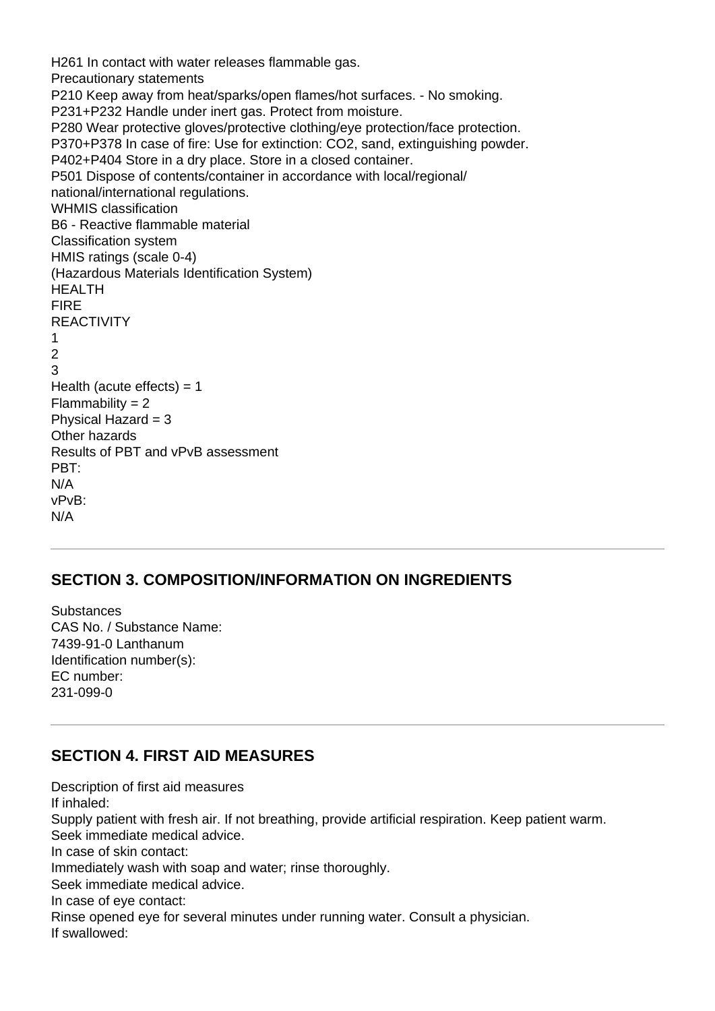H261 In contact with water releases flammable gas. Precautionary statements P210 Keep away from heat/sparks/open flames/hot surfaces. - No smoking. P231+P232 Handle under inert gas. Protect from moisture. P280 Wear protective gloves/protective clothing/eye protection/face protection. P370+P378 In case of fire: Use for extinction: CO2, sand, extinguishing powder. P402+P404 Store in a dry place. Store in a closed container. P501 Dispose of contents/container in accordance with local/regional/ national/international regulations. WHMIS classification B6 - Reactive flammable material Classification system HMIS ratings (scale 0-4) (Hazardous Materials Identification System) HEALTH FIRE **REACTIVITY** 1  $\mathfrak{p}$ 3 Health (acute effects)  $= 1$  $Flammability = 2$ Physical Hazard  $= 3$ Other hazards Results of PBT and vPvB assessment PBT: N/A vPvB: N/A

#### **SECTION 3. COMPOSITION/INFORMATION ON INGREDIENTS**

**Substances** CAS No. / Substance Name: 7439-91-0 Lanthanum Identification number(s): EC number: 231-099-0

### **SECTION 4. FIRST AID MEASURES**

Description of first aid measures If inhaled: Supply patient with fresh air. If not breathing, provide artificial respiration. Keep patient warm. Seek immediate medical advice. In case of skin contact: Immediately wash with soap and water; rinse thoroughly. Seek immediate medical advice. In case of eye contact: Rinse opened eye for several minutes under running water. Consult a physician. If swallowed: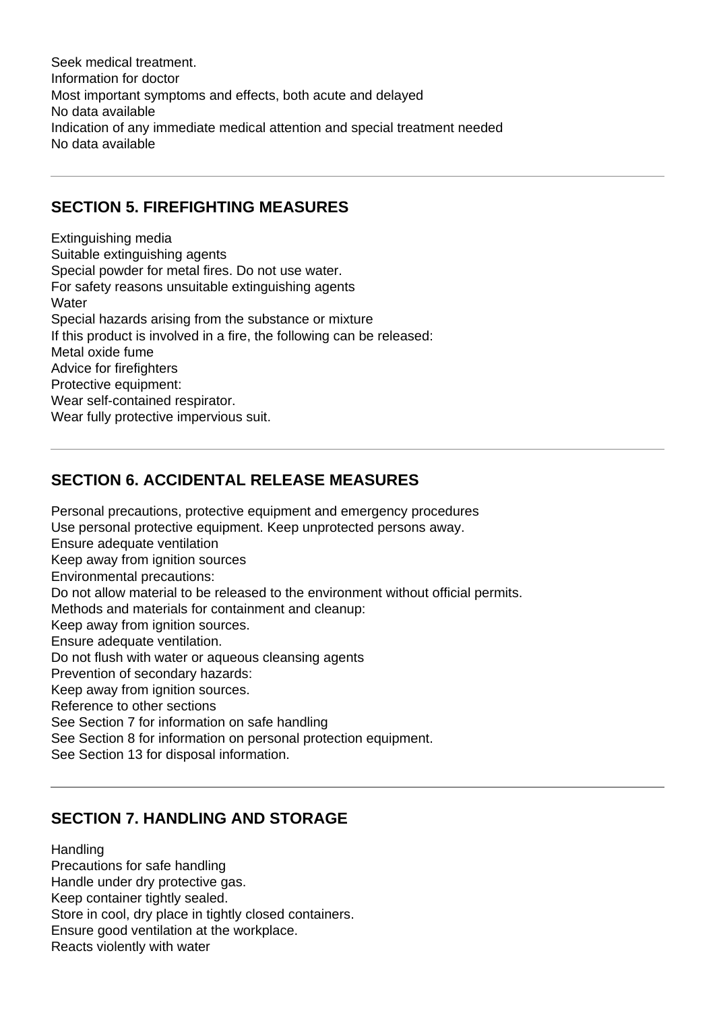Seek medical treatment. Information for doctor Most important symptoms and effects, both acute and delayed No data available Indication of any immediate medical attention and special treatment needed No data available

### **SECTION 5. FIREFIGHTING MEASURES**

Extinguishing media Suitable extinguishing agents Special powder for metal fires. Do not use water. For safety reasons unsuitable extinguishing agents **Water** Special hazards arising from the substance or mixture If this product is involved in a fire, the following can be released: Metal oxide fume Advice for firefighters Protective equipment: Wear self-contained respirator. Wear fully protective impervious suit.

### **SECTION 6. ACCIDENTAL RELEASE MEASURES**

Personal precautions, protective equipment and emergency procedures Use personal protective equipment. Keep unprotected persons away. Ensure adequate ventilation Keep away from ignition sources Environmental precautions: Do not allow material to be released to the environment without official permits. Methods and materials for containment and cleanup: Keep away from ignition sources. Ensure adequate ventilation. Do not flush with water or aqueous cleansing agents Prevention of secondary hazards: Keep away from ignition sources. Reference to other sections See Section 7 for information on safe handling See Section 8 for information on personal protection equipment. See Section 13 for disposal information.

## **SECTION 7. HANDLING AND STORAGE**

**Handling** Precautions for safe handling Handle under dry protective gas. Keep container tightly sealed. Store in cool, dry place in tightly closed containers. Ensure good ventilation at the workplace. Reacts violently with water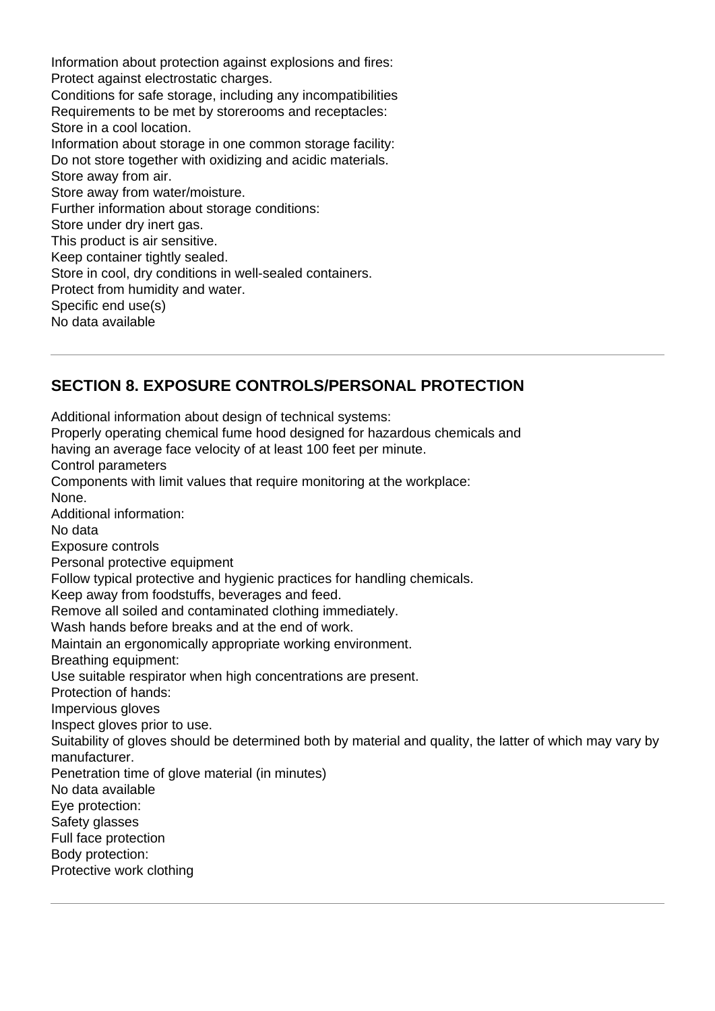Information about protection against explosions and fires: Protect against electrostatic charges. Conditions for safe storage, including any incompatibilities Requirements to be met by storerooms and receptacles: Store in a cool location. Information about storage in one common storage facility: Do not store together with oxidizing and acidic materials. Store away from air. Store away from water/moisture. Further information about storage conditions: Store under dry inert gas. This product is air sensitive. Keep container tightly sealed. Store in cool, dry conditions in well-sealed containers. Protect from humidity and water. Specific end use(s) No data available

## **SECTION 8. EXPOSURE CONTROLS/PERSONAL PROTECTION**

Additional information about design of technical systems: Properly operating chemical fume hood designed for hazardous chemicals and having an average face velocity of at least 100 feet per minute. Control parameters Components with limit values that require monitoring at the workplace: None. Additional information: No data Exposure controls Personal protective equipment Follow typical protective and hygienic practices for handling chemicals. Keep away from foodstuffs, beverages and feed. Remove all soiled and contaminated clothing immediately. Wash hands before breaks and at the end of work. Maintain an ergonomically appropriate working environment. Breathing equipment: Use suitable respirator when high concentrations are present. Protection of hands: Impervious gloves Inspect gloves prior to use. Suitability of gloves should be determined both by material and quality, the latter of which may vary by manufacturer. Penetration time of glove material (in minutes) No data available Eye protection: Safety glasses Full face protection Body protection: Protective work clothing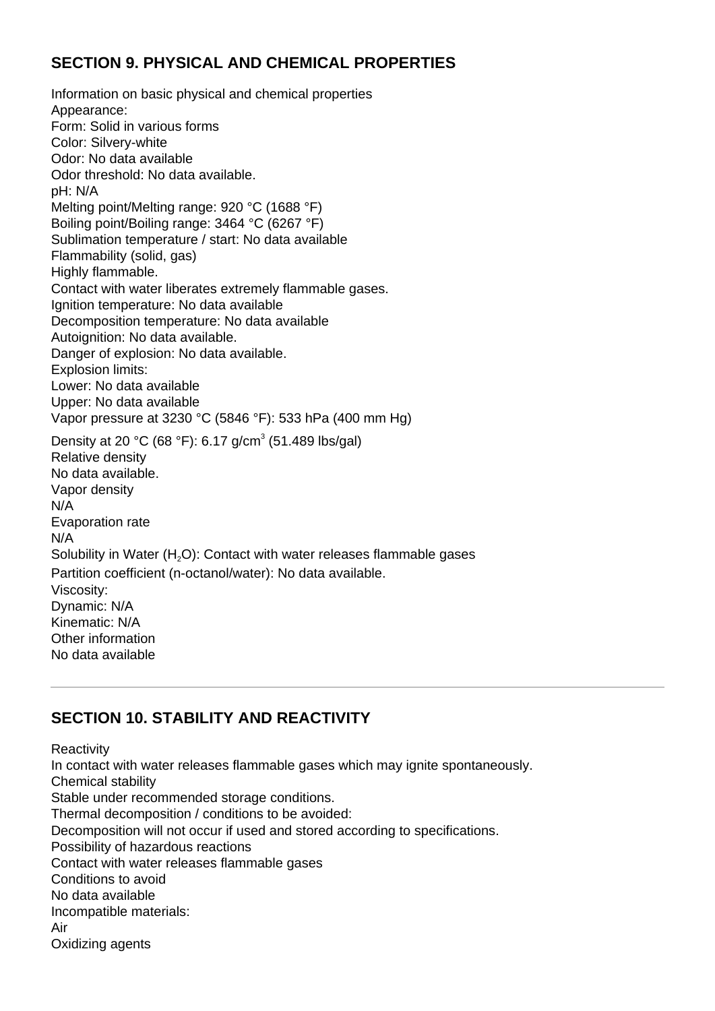## **SECTION 9. PHYSICAL AND CHEMICAL PROPERTIES**

Information on basic physical and chemical properties Appearance: Form: Solid in various forms Color: Silvery-white Odor: No data available Odor threshold: No data available. pH: N/A Melting point/Melting range: 920 °C (1688 °F) Boiling point/Boiling range: 3464 °C (6267 °F) Sublimation temperature / start: No data available Flammability (solid, gas) Highly flammable. Contact with water liberates extremely flammable gases. Ignition temperature: No data available Decomposition temperature: No data available Autoignition: No data available. Danger of explosion: No data available. Explosion limits: Lower: No data available Upper: No data available Vapor pressure at 3230 °C (5846 °F): 533 hPa (400 mm Hg) Density at 20 °C (68 °F): 6.17 g/cm<sup>3</sup> (51.489 lbs/gal) Relative density No data available. Vapor density N/A Evaporation rate N/A Solubility in Water  $(H<sub>2</sub>O)$ : Contact with water releases flammable gases Partition coefficient (n-octanol/water): No data available. Viscosity: Dynamic: N/A Kinematic: N/A Other information No data available

# **SECTION 10. STABILITY AND REACTIVITY**

**Reactivity** In contact with water releases flammable gases which may ignite spontaneously. Chemical stability Stable under recommended storage conditions. Thermal decomposition / conditions to be avoided: Decomposition will not occur if used and stored according to specifications. Possibility of hazardous reactions Contact with water releases flammable gases Conditions to avoid No data available Incompatible materials: Air Oxidizing agents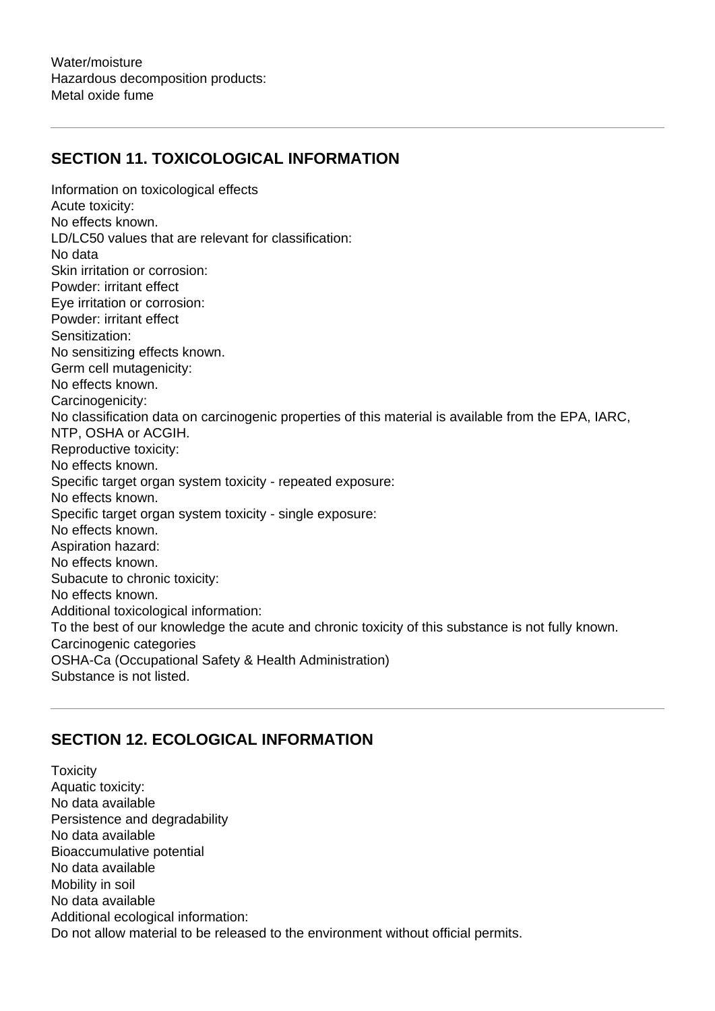## **SECTION 11. TOXICOLOGICAL INFORMATION**

Information on toxicological effects Acute toxicity: No effects known. LD/LC50 values that are relevant for classification: No data Skin irritation or corrosion: Powder: irritant effect Eye irritation or corrosion: Powder: irritant effect Sensitization: No sensitizing effects known. Germ cell mutagenicity: No effects known. Carcinogenicity: No classification data on carcinogenic properties of this material is available from the EPA, IARC, NTP, OSHA or ACGIH. Reproductive toxicity: No effects known. Specific target organ system toxicity - repeated exposure: No effects known. Specific target organ system toxicity - single exposure: No effects known. Aspiration hazard: No effects known. Subacute to chronic toxicity: No effects known. Additional toxicological information: To the best of our knowledge the acute and chronic toxicity of this substance is not fully known. Carcinogenic categories OSHA-Ca (Occupational Safety & Health Administration) Substance is not listed.

# **SECTION 12. ECOLOGICAL INFORMATION**

**Toxicity** Aquatic toxicity: No data available Persistence and degradability No data available Bioaccumulative potential No data available Mobility in soil No data available Additional ecological information: Do not allow material to be released to the environment without official permits.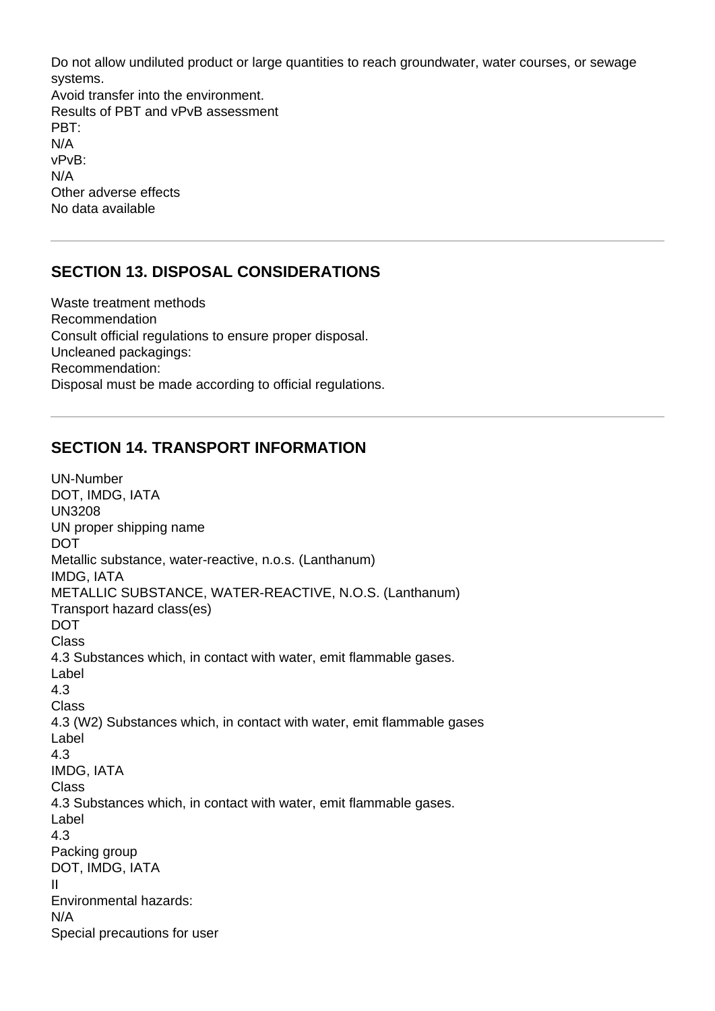Do not allow undiluted product or large quantities to reach groundwater, water courses, or sewage systems. Avoid transfer into the environment. Results of PBT and vPvB assessment PBT: N/A vPvB: N/A Other adverse effects No data available

### **SECTION 13. DISPOSAL CONSIDERATIONS**

Waste treatment methods Recommendation Consult official regulations to ensure proper disposal. Uncleaned packagings: Recommendation: Disposal must be made according to official regulations.

#### **SECTION 14. TRANSPORT INFORMATION**

UN-Number DOT, IMDG, IATA UN3208 UN proper shipping name DOT Metallic substance, water-reactive, n.o.s. (Lanthanum) IMDG, IATA METALLIC SUBSTANCE, WATER-REACTIVE, N.O.S. (Lanthanum) Transport hazard class(es) DOT Class 4.3 Substances which, in contact with water, emit flammable gases. Label 4.3 Class 4.3 (W2) Substances which, in contact with water, emit flammable gases Label 4.3 IMDG, IATA Class 4.3 Substances which, in contact with water, emit flammable gases. Label 4.3 Packing group DOT, IMDG, IATA II Environmental hazards: N/A Special precautions for user